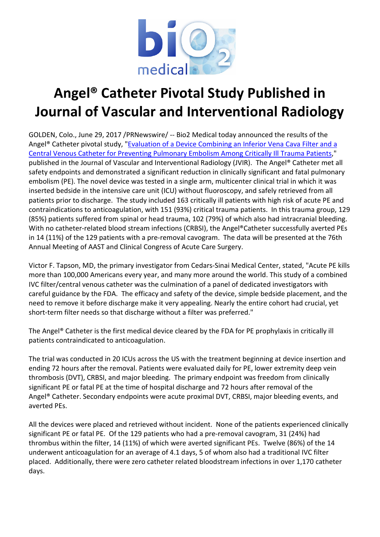

## Angel® Catheter Pivotal Study Published in Journal of Vascular and Interventional Radiology

GOLDEN, Colo., June 29, 2017 /PRNewswire/ -- Bio2 Medical today announced the results of the Angel® Catheter pivotal study, "Evaluation of a Device Combining an Inferior Vena Cava Filter and a Central Venous Catheter for Preventing Pulmonary Embolism Among Critically Ill Trauma Patients," published in the Journal of Vascular and Interventional Radiology (JVIR). The Angel® Catheter met all safety endpoints and demonstrated a significant reduction in clinically significant and fatal pulmonary embolism (PE). The novel device was tested in a single arm, multicenter clinical trial in which it was inserted bedside in the intensive care unit (ICU) without fluoroscopy, and safely retrieved from all patients prior to discharge. The study included 163 critically ill patients with high risk of acute PE and contraindications to anticoagulation, with 151 (93%) critical trauma patients. In this trauma group, 129 (85%) patients suffered from spinal or head trauma, 102 (79%) of which also had intracranial bleeding. With no catheter-related blood stream infections (CRBSI), the Angel®Catheter successfully averted PEs in 14 (11%) of the 129 patients with a pre-removal cavogram. The data will be presented at the 76th Annual Meeting of AAST and Clinical Congress of Acute Care Surgery.

Victor F. Tapson, MD, the primary investigator from Cedars-Sinai Medical Center, stated, "Acute PE kills more than 100,000 Americans every year, and many more around the world. This study of a combined IVC filter/central venous catheter was the culmination of a panel of dedicated investigators with careful guidance by the FDA. The efficacy and safety of the device, simple bedside placement, and the need to remove it before discharge make it very appealing. Nearly the entire cohort had crucial, yet short-term filter needs so that discharge without a filter was preferred."

The Angel® Catheter is the first medical device cleared by the FDA for PE prophylaxis in critically ill patients contraindicated to anticoagulation.

The trial was conducted in 20 ICUs across the US with the treatment beginning at device insertion and ending 72 hours after the removal. Patients were evaluated daily for PE, lower extremity deep vein thrombosis (DVT), CRBSI, and major bleeding. The primary endpoint was freedom from clinically significant PE or fatal PE at the time of hospital discharge and 72 hours after removal of the Angel® Catheter. Secondary endpoints were acute proximal DVT, CRBSI, major bleeding events, and averted PEs.

All the devices were placed and retrieved without incident. None of the patients experienced clinically significant PE or fatal PE. Of the 129 patients who had a pre-removal cavogram, 31 (24%) had thrombus within the filter, 14 (11%) of which were averted significant PEs. Twelve (86%) of the 14 underwent anticoagulation for an average of 4.1 days, 5 of whom also had a traditional IVC filter placed. Additionally, there were zero catheter related bloodstream infections in over 1,170 catheter days.